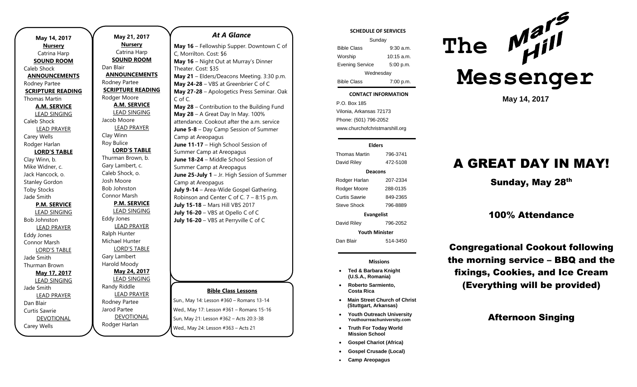| May 14, 2017             |  |  |
|--------------------------|--|--|
| <b>Nursery</b>           |  |  |
| Catrina Harp             |  |  |
| <b>SOUND ROOM</b>        |  |  |
| Caleb Shock              |  |  |
| <b>ANNOUNCEMENTS</b>     |  |  |
| Rodney Partee            |  |  |
| <b>SCRIPTURE READING</b> |  |  |
| Thomas Martin            |  |  |
| <b>A.M. SERVICE</b>      |  |  |
| <u>LEAD SINGING</u>      |  |  |
| Caleb Shock              |  |  |
| <b>LEAD PRAYER</b>       |  |  |
| Carey Wells              |  |  |
| Rodger Harlan            |  |  |
| <b>LORD'S TABLE</b>      |  |  |
| Clay Winn, b.            |  |  |
| Mike Widner, c.          |  |  |
| Jack Hancock, o.         |  |  |
| <b>Stanley Gordon</b>    |  |  |
| <b>Toby Stocks</b>       |  |  |
| Jade Smith               |  |  |
| P.M. SERVICE             |  |  |
| <b>LEAD SINGING</b>      |  |  |
| <b>Bob Johnston</b>      |  |  |
| <b>LEAD PRAYER</b>       |  |  |
| Eddy Jones               |  |  |
| Connor Marsh             |  |  |
| <b>LORD'S TABLE</b>      |  |  |
| Jade Smith               |  |  |
| Thurman Brown            |  |  |
| May 17, 2017             |  |  |
| <b>LEAD SINGING</b>      |  |  |
| Jade Smith               |  |  |
| <b>LEAD PRAYER</b>       |  |  |
| Dan Blair                |  |  |
| Curtis Sawrie            |  |  |
| <b>DEVOTIONAL</b>        |  |  |
| Carey Wells              |  |  |

**May 21, 2017 Nursery** Catrina Harp **SOUND ROOM** Dan Blair **ANNOUNCEMENTS** Rodney Partee **SCRIPTURE READING** Rodger Moore **A.M. SERVICE** LEAD SINGING Jacob Moore LEAD PRAYER Clay Winn Roy Bulice **LORD'S TABLE** Thurman Brown, b. Gary Lambert, c. Caleb Shock, o. Josh Moore Bob Johnston Connor Marsh **P.M. SERVICE** LEAD SINGING Eddy Jones LEAD PRAYER Ralph Hunter Michael Hunter LORD'S TABLE Gary Lambert Harold Moody **May 24, 2017** LEAD SINGING Randy Riddle LEAD PRAYER Rodney Partee Jarod Partee DEVOTIONAL Rodger Harlan

# **Bible Class Lessons** Sun., May 14: Lesson #360 – Romans 13-14 Wed., May 17: Lesson #361 – Romans 15-16 Sun, May 21: Lesson #362 – Acts 20:3-38 *At A Glance*  **May 16** – Fellowship Supper. Downtown C of C, Morrilton. Cost: \$6 **May 16** – Night Out at Murray's Dinner Theater. Cost: \$35 **May 21** – Elders/Deacons Meeting. 3:30 p.m. **May 24-28** – VBS at Greenbrier C of C **May 27-28** – Apologetics Press Seminar. Oak C of C. **May 28** – Contribution to the Building Fund **May 28** – A Great Day In May. 100% attendance. Cookout after the a.m. service **June 5-8** – Day Camp Session of Summer Camp at Areopagus **June 11-17** – High School Session of Summer Camp at Areopagus **June 18-24** – Middle School Session of Summer Camp at Areopagus **June 25-July 1** – Jr. High Session of Summer Camp at Areopagus **July 9-14** – Area-Wide Gospel Gathering. Robinson and Center C of C. 7 – 8:15 p.m. **July 15-18** – Mars Hill VBS 2017 **July 16-20** – VBS at Opello C of C **July 16-20** – VBS at Perryville C of C

Wed., May 24: Lesson #363 – Acts 21

#### **SCHEDULE OF SERVICES**

| Sunday                 |              |  |
|------------------------|--------------|--|
| <b>Bible Class</b>     | 9:30 a.m.    |  |
| Worship                | $10:15$ a.m. |  |
| <b>Evening Service</b> | 5:00 p.m.    |  |
| Wednesday              |              |  |
| <b>Bible Class</b>     | 7:00 p.m.    |  |

#### tuesday<br>Tuesday **CONTACT INFORMATION**

. .o. Box 166<br>Vilonia, Arkansas 72173 P.O. Box 185 Phone: (501) 796-2052 www.churchofchristmarshill.org

#### **Elders** Thomas Martin 796-3741 David Riley 472-5108 **Deacons** Rodger Harlan 207-2334 Rodger Moore 288-0135 Curtis Sawrie 849-2365 Steve Shock 796-8889 **Evangelist** David Riley 796-2052 **Youth Minister** Dan Blair 514-3450

**Missions**

- **Ted & Barbara Knight (U.S.A., Romania)**
- **Roberto Sarmiento, Costa Rica**
- **Main Street Church of Christ (Stuttgart, Arkansas)**
- **Youth Outreach University Youthourreachuniversity.com**
- **Truth For Today World Mission School**
- **Gospel Chariot (Africa)**
- **Gospel Crusade (Local)**
- **Camp Areopagus**



**May 14, 2017**

# A GREAT DAY IN MAY!

Sunday, May 28<sup>th</sup>

## 100% Attendance

Congregational Cookout following the morning service – BBQ and the fixings, Cookies, and Ice Cream (Everything will be provided)

## Afternoon Singing